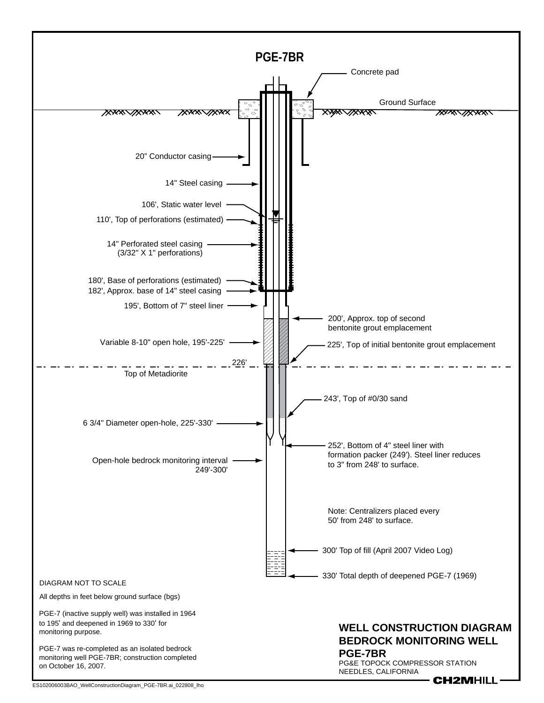

ES102006003BAO\_WellConstructionDiagram\_PGE-7BR.ai\_022808\_lho